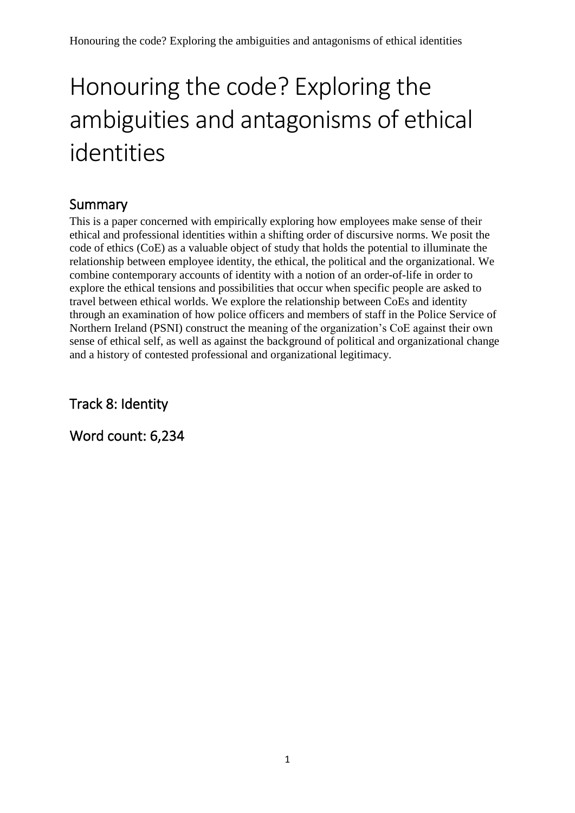# Summary

This is a paper concerned with empirically exploring how employees make sense of their ethical and professional identities within a shifting order of discursive norms. We posit the code of ethics (CoE) as a valuable object of study that holds the potential to illuminate the relationship between employee identity, the ethical, the political and the organizational. We combine contemporary accounts of identity with a notion of an order-of-life in order to explore the ethical tensions and possibilities that occur when specific people are asked to travel between ethical worlds. We explore the relationship between CoEs and identity through an examination of how police officers and members of staff in the Police Service of Northern Ireland (PSNI) construct the meaning of the organization's CoE against their own sense of ethical self, as well as against the background of political and organizational change and a history of contested professional and organizational legitimacy.

Track 8: Identity

Word count: 6,234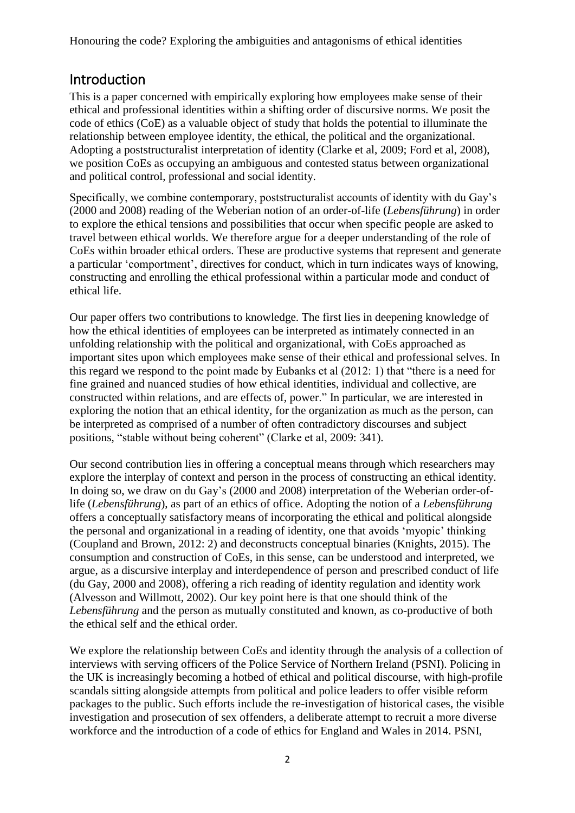## Introduction

This is a paper concerned with empirically exploring how employees make sense of their ethical and professional identities within a shifting order of discursive norms. We posit the code of ethics (CoE) as a valuable object of study that holds the potential to illuminate the relationship between employee identity, the ethical, the political and the organizational. Adopting a poststructuralist interpretation of identity (Clarke et al, 2009; Ford et al, 2008), we position CoEs as occupying an ambiguous and contested status between organizational and political control, professional and social identity.

Specifically, we combine contemporary, poststructuralist accounts of identity with du Gay's (2000 and 2008) reading of the Weberian notion of an order-of-life (*Lebensführung*) in order to explore the ethical tensions and possibilities that occur when specific people are asked to travel between ethical worlds. We therefore argue for a deeper understanding of the role of CoEs within broader ethical orders. These are productive systems that represent and generate a particular 'comportment', directives for conduct, which in turn indicates ways of knowing, constructing and enrolling the ethical professional within a particular mode and conduct of ethical life.

Our paper offers two contributions to knowledge. The first lies in deepening knowledge of how the ethical identities of employees can be interpreted as intimately connected in an unfolding relationship with the political and organizational, with CoEs approached as important sites upon which employees make sense of their ethical and professional selves. In this regard we respond to the point made by Eubanks et al (2012: 1) that "there is a need for fine grained and nuanced studies of how ethical identities, individual and collective, are constructed within relations, and are effects of, power." In particular, we are interested in exploring the notion that an ethical identity, for the organization as much as the person, can be interpreted as comprised of a number of often contradictory discourses and subject positions, "stable without being coherent" (Clarke et al, 2009: 341).

Our second contribution lies in offering a conceptual means through which researchers may explore the interplay of context and person in the process of constructing an ethical identity. In doing so, we draw on du Gay's (2000 and 2008) interpretation of the Weberian order-oflife (*Lebensführung*), as part of an ethics of office. Adopting the notion of a *Lebensführung* offers a conceptually satisfactory means of incorporating the ethical and political alongside the personal and organizational in a reading of identity, one that avoids 'myopic' thinking (Coupland and Brown, 2012: 2) and deconstructs conceptual binaries (Knights, 2015). The consumption and construction of CoEs, in this sense, can be understood and interpreted, we argue, as a discursive interplay and interdependence of person and prescribed conduct of life (du Gay, 2000 and 2008), offering a rich reading of identity regulation and identity work (Alvesson and Willmott, 2002). Our key point here is that one should think of the *Lebensführung* and the person as mutually constituted and known, as co-productive of both the ethical self and the ethical order.

We explore the relationship between CoEs and identity through the analysis of a collection of interviews with serving officers of the Police Service of Northern Ireland (PSNI). Policing in the UK is increasingly becoming a hotbed of ethical and political discourse, with high-profile scandals sitting alongside attempts from political and police leaders to offer visible reform packages to the public. Such efforts include the re-investigation of historical cases, the visible investigation and prosecution of sex offenders, a deliberate attempt to recruit a more diverse workforce and the introduction of a code of ethics for England and Wales in 2014. PSNI,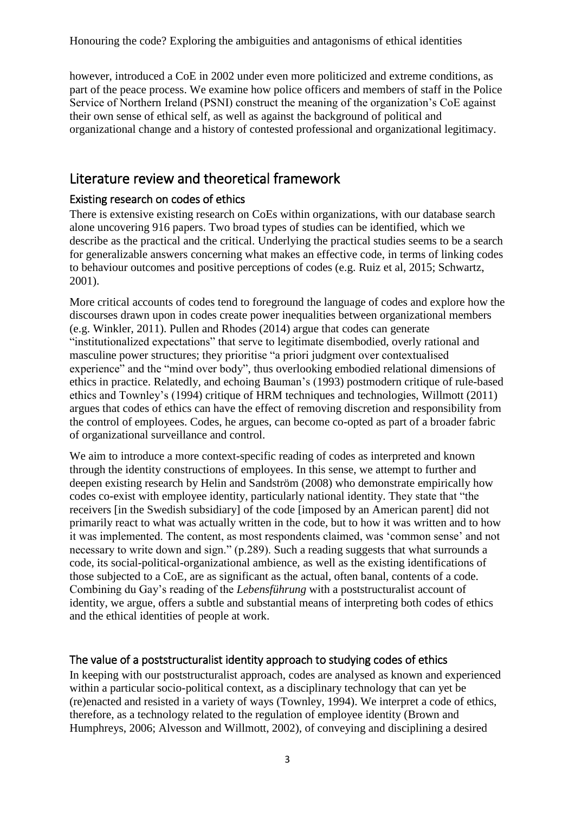however, introduced a CoE in 2002 under even more politicized and extreme conditions, as part of the peace process. We examine how police officers and members of staff in the Police Service of Northern Ireland (PSNI) construct the meaning of the organization's CoE against their own sense of ethical self, as well as against the background of political and organizational change and a history of contested professional and organizational legitimacy.

## Literature review and theoretical framework

#### Existing research on codes of ethics

There is extensive existing research on CoEs within organizations, with our database search alone uncovering 916 papers. Two broad types of studies can be identified, which we describe as the practical and the critical. Underlying the practical studies seems to be a search for generalizable answers concerning what makes an effective code, in terms of linking codes to behaviour outcomes and positive perceptions of codes (e.g. Ruiz et al, 2015; Schwartz, 2001).

More critical accounts of codes tend to foreground the language of codes and explore how the discourses drawn upon in codes create power inequalities between organizational members (e.g. Winkler, 2011). Pullen and Rhodes (2014) argue that codes can generate "institutionalized expectations" that serve to legitimate disembodied, overly rational and masculine power structures; they prioritise "a priori judgment over contextualised experience" and the "mind over body", thus overlooking embodied relational dimensions of ethics in practice. Relatedly, and echoing Bauman's (1993) postmodern critique of rule-based ethics and Townley's (1994) critique of HRM techniques and technologies, Willmott (2011) argues that codes of ethics can have the effect of removing discretion and responsibility from the control of employees. Codes, he argues, can become co-opted as part of a broader fabric of organizational surveillance and control.

We aim to introduce a more context-specific reading of codes as interpreted and known through the identity constructions of employees. In this sense, we attempt to further and deepen existing research by Helin and Sandström (2008) who demonstrate empirically how codes co-exist with employee identity, particularly national identity. They state that "the receivers [in the Swedish subsidiary] of the code [imposed by an American parent] did not primarily react to what was actually written in the code, but to how it was written and to how it was implemented. The content, as most respondents claimed, was 'common sense' and not necessary to write down and sign." (p.289). Such a reading suggests that what surrounds a code, its social-political-organizational ambience, as well as the existing identifications of those subjected to a CoE, are as significant as the actual, often banal, contents of a code. Combining du Gay's reading of the *Lebensführung* with a poststructuralist account of identity, we argue, offers a subtle and substantial means of interpreting both codes of ethics and the ethical identities of people at work.

#### The value of a poststructuralist identity approach to studying codes of ethics

In keeping with our poststructuralist approach, codes are analysed as known and experienced within a particular socio-political context, as a disciplinary technology that can yet be (re)enacted and resisted in a variety of ways (Townley, 1994). We interpret a code of ethics, therefore, as a technology related to the regulation of employee identity (Brown and Humphreys, 2006; Alvesson and Willmott, 2002), of conveying and disciplining a desired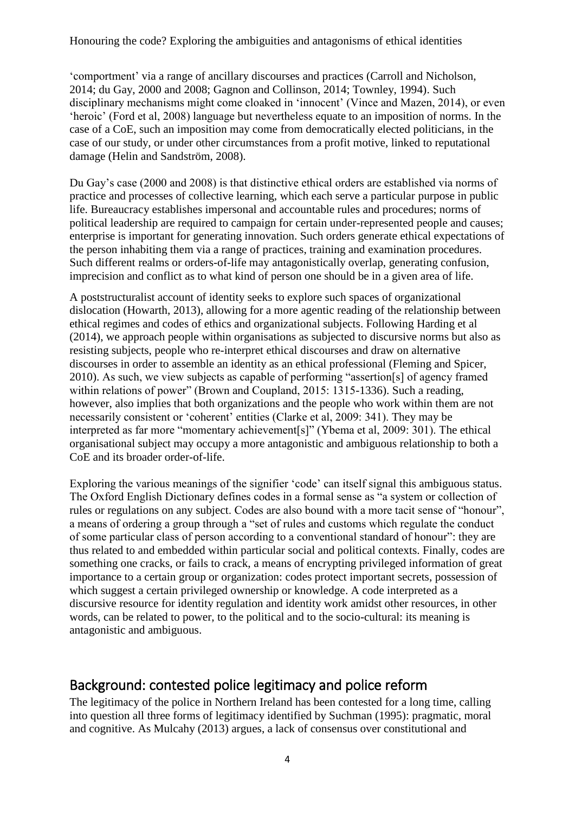'comportment' via a range of ancillary discourses and practices (Carroll and Nicholson, 2014; du Gay, 2000 and 2008; Gagnon and Collinson, 2014; Townley, 1994). Such disciplinary mechanisms might come cloaked in 'innocent' (Vince and Mazen, 2014), or even 'heroic' (Ford et al, 2008) language but nevertheless equate to an imposition of norms. In the case of a CoE, such an imposition may come from democratically elected politicians, in the case of our study, or under other circumstances from a profit motive, linked to reputational damage (Helin and Sandström, 2008).

Du Gay's case (2000 and 2008) is that distinctive ethical orders are established via norms of practice and processes of collective learning, which each serve a particular purpose in public life. Bureaucracy establishes impersonal and accountable rules and procedures; norms of political leadership are required to campaign for certain under-represented people and causes; enterprise is important for generating innovation. Such orders generate ethical expectations of the person inhabiting them via a range of practices, training and examination procedures. Such different realms or orders-of-life may antagonistically overlap, generating confusion, imprecision and conflict as to what kind of person one should be in a given area of life.

A poststructuralist account of identity seeks to explore such spaces of organizational dislocation (Howarth, 2013), allowing for a more agentic reading of the relationship between ethical regimes and codes of ethics and organizational subjects. Following Harding et al (2014), we approach people within organisations as subjected to discursive norms but also as resisting subjects, people who re-interpret ethical discourses and draw on alternative discourses in order to assemble an identity as an ethical professional (Fleming and Spicer, 2010). As such, we view subjects as capable of performing "assertion[s] of agency framed within relations of power" (Brown and Coupland, 2015: 1315-1336). Such a reading, however, also implies that both organizations and the people who work within them are not necessarily consistent or 'coherent' entities (Clarke et al, 2009: 341). They may be interpreted as far more "momentary achievement[s]" (Ybema et al, 2009: 301). The ethical organisational subject may occupy a more antagonistic and ambiguous relationship to both a CoE and its broader order-of-life.

Exploring the various meanings of the signifier 'code' can itself signal this ambiguous status. The Oxford English Dictionary defines codes in a formal sense as "a system or collection of rules or regulations on any subject. Codes are also bound with a more tacit sense of "honour", a means of ordering a group through a "set of rules and customs which regulate the conduct of some particular class of person according to a conventional standard of honour": they are thus related to and embedded within particular social and political contexts. Finally, codes are something one cracks, or fails to crack, a means of encrypting privileged information of great importance to a certain group or organization: codes protect important secrets, possession of which suggest a certain privileged ownership or knowledge. A code interpreted as a discursive resource for identity regulation and identity work amidst other resources, in other words, can be related to power, to the political and to the socio-cultural: its meaning is antagonistic and ambiguous.

# Background: contested police legitimacy and police reform

The legitimacy of the police in Northern Ireland has been contested for a long time, calling into question all three forms of legitimacy identified by Suchman (1995): pragmatic, moral and cognitive. As Mulcahy (2013) argues, a lack of consensus over constitutional and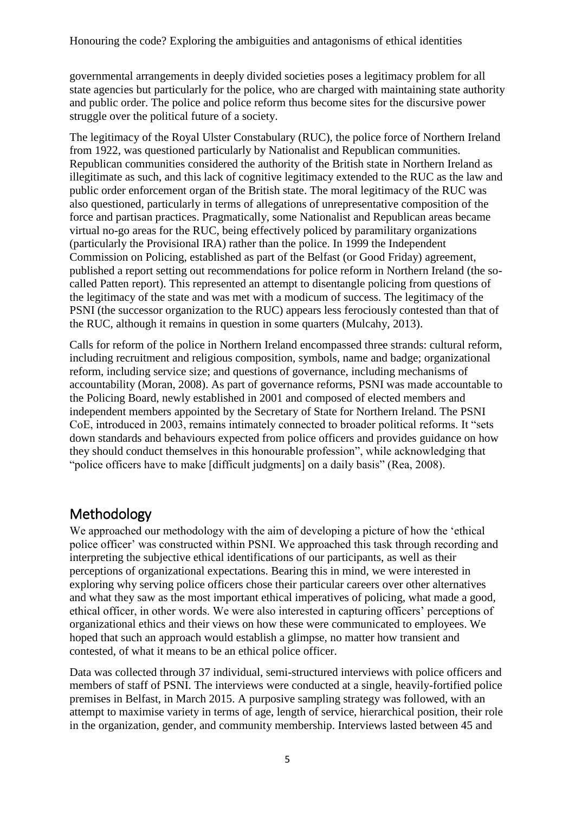governmental arrangements in deeply divided societies poses a legitimacy problem for all state agencies but particularly for the police, who are charged with maintaining state authority and public order. The police and police reform thus become sites for the discursive power struggle over the political future of a society.

The legitimacy of the Royal Ulster Constabulary (RUC), the police force of Northern Ireland from 1922, was questioned particularly by Nationalist and Republican communities. Republican communities considered the authority of the British state in Northern Ireland as illegitimate as such, and this lack of cognitive legitimacy extended to the RUC as the law and public order enforcement organ of the British state. The moral legitimacy of the RUC was also questioned, particularly in terms of allegations of unrepresentative composition of the force and partisan practices. Pragmatically, some Nationalist and Republican areas became virtual no-go areas for the RUC, being effectively policed by paramilitary organizations (particularly the Provisional IRA) rather than the police. In 1999 the Independent Commission on Policing, established as part of the Belfast (or Good Friday) agreement, published a report setting out recommendations for police reform in Northern Ireland (the socalled Patten report). This represented an attempt to disentangle policing from questions of the legitimacy of the state and was met with a modicum of success. The legitimacy of the PSNI (the successor organization to the RUC) appears less ferociously contested than that of the RUC, although it remains in question in some quarters (Mulcahy, 2013).

Calls for reform of the police in Northern Ireland encompassed three strands: cultural reform, including recruitment and religious composition, symbols, name and badge; organizational reform, including service size; and questions of governance, including mechanisms of accountability (Moran, 2008). As part of governance reforms, PSNI was made accountable to the Policing Board, newly established in 2001 and composed of elected members and independent members appointed by the Secretary of State for Northern Ireland. The PSNI CoE, introduced in 2003, remains intimately connected to broader political reforms. It "sets down standards and behaviours expected from police officers and provides guidance on how they should conduct themselves in this honourable profession", while acknowledging that "police officers have to make [difficult judgments] on a daily basis" (Rea, 2008).

# Methodology

We approached our methodology with the aim of developing a picture of how the 'ethical police officer' was constructed within PSNI. We approached this task through recording and interpreting the subjective ethical identifications of our participants, as well as their perceptions of organizational expectations. Bearing this in mind, we were interested in exploring why serving police officers chose their particular careers over other alternatives and what they saw as the most important ethical imperatives of policing, what made a good, ethical officer, in other words. We were also interested in capturing officers' perceptions of organizational ethics and their views on how these were communicated to employees. We hoped that such an approach would establish a glimpse, no matter how transient and contested, of what it means to be an ethical police officer.

Data was collected through 37 individual, semi-structured interviews with police officers and members of staff of PSNI. The interviews were conducted at a single, heavily-fortified police premises in Belfast, in March 2015. A purposive sampling strategy was followed, with an attempt to maximise variety in terms of age, length of service, hierarchical position, their role in the organization, gender, and community membership. Interviews lasted between 45 and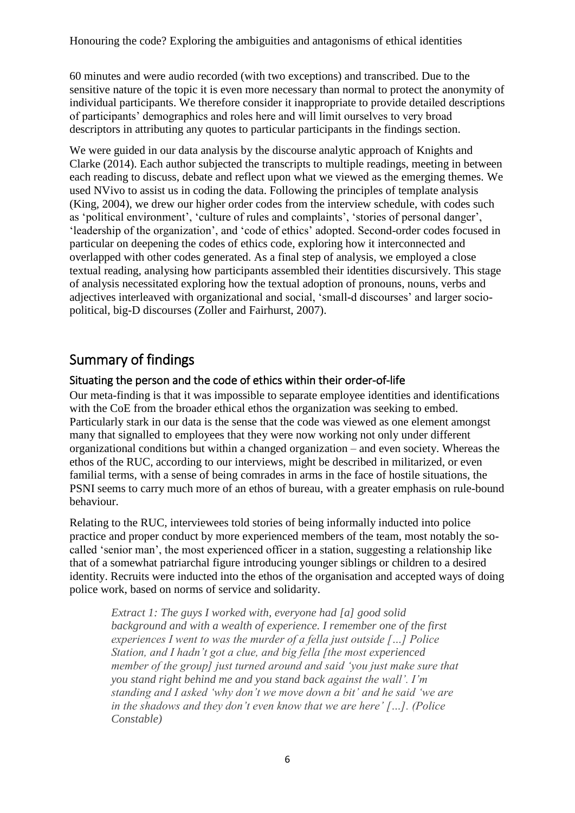60 minutes and were audio recorded (with two exceptions) and transcribed. Due to the sensitive nature of the topic it is even more necessary than normal to protect the anonymity of individual participants. We therefore consider it inappropriate to provide detailed descriptions of participants' demographics and roles here and will limit ourselves to very broad descriptors in attributing any quotes to particular participants in the findings section.

We were guided in our data analysis by the discourse analytic approach of Knights and Clarke (2014). Each author subjected the transcripts to multiple readings, meeting in between each reading to discuss, debate and reflect upon what we viewed as the emerging themes. We used NVivo to assist us in coding the data. Following the principles of template analysis (King, 2004), we drew our higher order codes from the interview schedule, with codes such as 'political environment', 'culture of rules and complaints', 'stories of personal danger', 'leadership of the organization', and 'code of ethics' adopted. Second-order codes focused in particular on deepening the codes of ethics code, exploring how it interconnected and overlapped with other codes generated. As a final step of analysis, we employed a close textual reading, analysing how participants assembled their identities discursively. This stage of analysis necessitated exploring how the textual adoption of pronouns, nouns, verbs and adjectives interleaved with organizational and social, 'small-d discourses' and larger sociopolitical, big-D discourses (Zoller and Fairhurst, 2007).

## Summary of findings

#### Situating the person and the code of ethics within their order-of-life

Our meta-finding is that it was impossible to separate employee identities and identifications with the CoE from the broader ethical ethos the organization was seeking to embed. Particularly stark in our data is the sense that the code was viewed as one element amongst many that signalled to employees that they were now working not only under different organizational conditions but within a changed organization – and even society. Whereas the ethos of the RUC, according to our interviews, might be described in militarized, or even familial terms, with a sense of being comrades in arms in the face of hostile situations, the PSNI seems to carry much more of an ethos of bureau, with a greater emphasis on rule-bound behaviour.

Relating to the RUC, interviewees told stories of being informally inducted into police practice and proper conduct by more experienced members of the team, most notably the socalled 'senior man', the most experienced officer in a station, suggesting a relationship like that of a somewhat patriarchal figure introducing younger siblings or children to a desired identity. Recruits were inducted into the ethos of the organisation and accepted ways of doing police work, based on norms of service and solidarity.

*Extract 1: The guys I worked with, everyone had [a] good solid background and with a wealth of experience. I remember one of the first experiences I went to was the murder of a fella just outside […] Police Station, and I hadn't got a clue, and big fella [the most experienced member of the group] just turned around and said 'you just make sure that you stand right behind me and you stand back against the wall'. I'm standing and I asked 'why don't we move down a bit' and he said 'we are in the shadows and they don't even know that we are here' […]. (Police Constable)*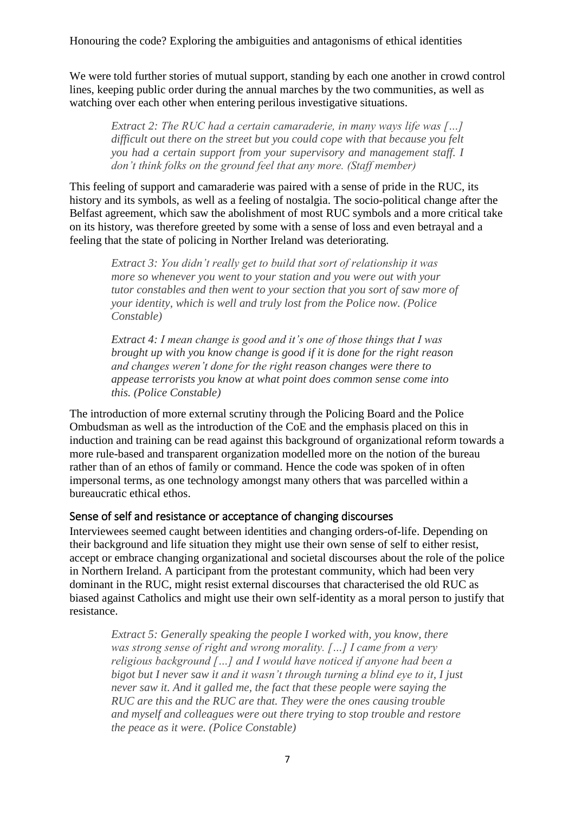We were told further stories of mutual support, standing by each one another in crowd control lines, keeping public order during the annual marches by the two communities, as well as watching over each other when entering perilous investigative situations.

*Extract 2: The RUC had a certain camaraderie, in many ways life was […] difficult out there on the street but you could cope with that because you felt you had a certain support from your supervisory and management staff. I don't think folks on the ground feel that any more. (Staff member)*

This feeling of support and camaraderie was paired with a sense of pride in the RUC, its history and its symbols, as well as a feeling of nostalgia. The socio-political change after the Belfast agreement, which saw the abolishment of most RUC symbols and a more critical take on its history, was therefore greeted by some with a sense of loss and even betrayal and a feeling that the state of policing in Norther Ireland was deteriorating.

*Extract 3: You didn't really get to build that sort of relationship it was more so whenever you went to your station and you were out with your tutor constables and then went to your section that you sort of saw more of your identity, which is well and truly lost from the Police now. (Police Constable)*

*Extract 4: I mean change is good and it's one of those things that I was brought up with you know change is good if it is done for the right reason and changes weren't done for the right reason changes were there to appease terrorists you know at what point does common sense come into this. (Police Constable)*

The introduction of more external scrutiny through the Policing Board and the Police Ombudsman as well as the introduction of the CoE and the emphasis placed on this in induction and training can be read against this background of organizational reform towards a more rule-based and transparent organization modelled more on the notion of the bureau rather than of an ethos of family or command. Hence the code was spoken of in often impersonal terms, as one technology amongst many others that was parcelled within a bureaucratic ethical ethos.

#### Sense of self and resistance or acceptance of changing discourses

Interviewees seemed caught between identities and changing orders-of-life. Depending on their background and life situation they might use their own sense of self to either resist, accept or embrace changing organizational and societal discourses about the role of the police in Northern Ireland. A participant from the protestant community, which had been very dominant in the RUC, might resist external discourses that characterised the old RUC as biased against Catholics and might use their own self-identity as a moral person to justify that resistance.

*Extract 5: Generally speaking the people I worked with, you know, there was strong sense of right and wrong morality. […] I came from a very religious background […] and I would have noticed if anyone had been a bigot but I never saw it and it wasn't through turning a blind eye to it, I just never saw it. And it galled me, the fact that these people were saying the RUC are this and the RUC are that. They were the ones causing trouble and myself and colleagues were out there trying to stop trouble and restore the peace as it were. (Police Constable)*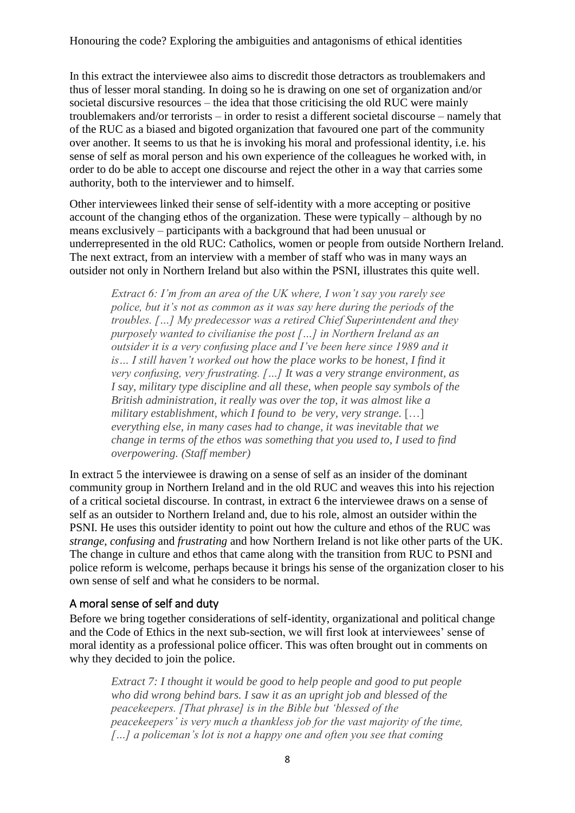In this extract the interviewee also aims to discredit those detractors as troublemakers and thus of lesser moral standing. In doing so he is drawing on one set of organization and/or societal discursive resources – the idea that those criticising the old RUC were mainly troublemakers and/or terrorists – in order to resist a different societal discourse – namely that of the RUC as a biased and bigoted organization that favoured one part of the community over another. It seems to us that he is invoking his moral and professional identity, i.e. his sense of self as moral person and his own experience of the colleagues he worked with, in order to do be able to accept one discourse and reject the other in a way that carries some authority, both to the interviewer and to himself.

Other interviewees linked their sense of self-identity with a more accepting or positive account of the changing ethos of the organization. These were typically – although by no means exclusively – participants with a background that had been unusual or underrepresented in the old RUC: Catholics, women or people from outside Northern Ireland. The next extract, from an interview with a member of staff who was in many ways an outsider not only in Northern Ireland but also within the PSNI, illustrates this quite well.

*Extract 6: I'm from an area of the UK where, I won't say you rarely see police, but it's not as common as it was say here during the periods of the troubles. […] My predecessor was a retired Chief Superintendent and they purposely wanted to civilianise the post […] in Northern Ireland as an outsider it is a very confusing place and I've been here since 1989 and it is… I still haven't worked out how the place works to be honest, I find it very confusing, very frustrating. […] It was a very strange environment, as I say, military type discipline and all these, when people say symbols of the British administration, it really was over the top, it was almost like a military establishment, which I found to be very, very strange.* […] *everything else, in many cases had to change, it was inevitable that we change in terms of the ethos was something that you used to, I used to find overpowering. (Staff member)*

In extract 5 the interviewee is drawing on a sense of self as an insider of the dominant community group in Northern Ireland and in the old RUC and weaves this into his rejection of a critical societal discourse. In contrast, in extract 6 the interviewee draws on a sense of self as an outsider to Northern Ireland and, due to his role, almost an outsider within the PSNI. He uses this outsider identity to point out how the culture and ethos of the RUC was *strange*, *confusing* and *frustrating* and how Northern Ireland is not like other parts of the UK. The change in culture and ethos that came along with the transition from RUC to PSNI and police reform is welcome, perhaps because it brings his sense of the organization closer to his own sense of self and what he considers to be normal.

#### A moral sense of self and duty

Before we bring together considerations of self-identity, organizational and political change and the Code of Ethics in the next sub-section, we will first look at interviewees' sense of moral identity as a professional police officer. This was often brought out in comments on why they decided to join the police.

*Extract 7: I thought it would be good to help people and good to put people who did wrong behind bars. I saw it as an upright job and blessed of the peacekeepers. [That phrase] is in the Bible but 'blessed of the peacekeepers' is very much a thankless job for the vast majority of the time, […] a policeman's lot is not a happy one and often you see that coming*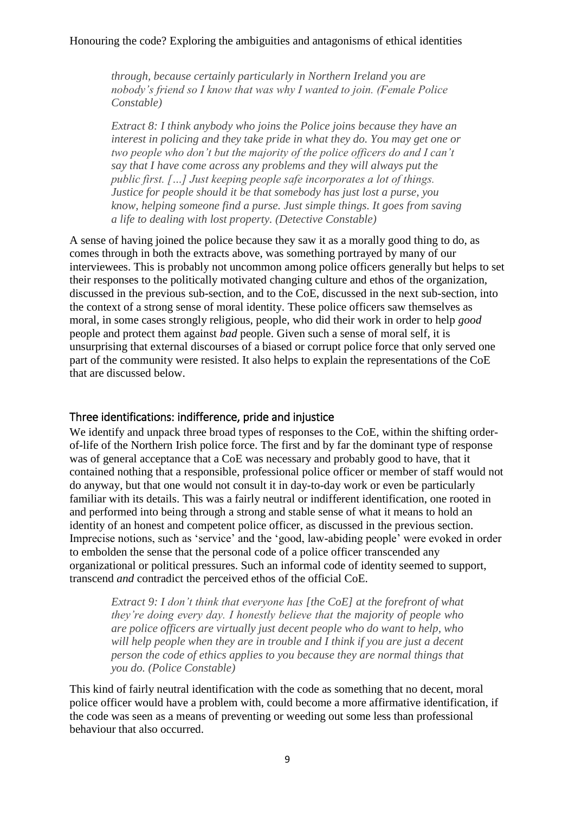*through, because certainly particularly in Northern Ireland you are nobody's friend so I know that was why I wanted to join. (Female Police Constable)*

*Extract 8: I think anybody who joins the Police joins because they have an interest in policing and they take pride in what they do. You may get one or two people who don't but the majority of the police officers do and I can't say that I have come across any problems and they will always put the public first. […] Just keeping people safe incorporates a lot of things. Justice for people should it be that somebody has just lost a purse, you know, helping someone find a purse. Just simple things. It goes from saving a life to dealing with lost property. (Detective Constable)*

A sense of having joined the police because they saw it as a morally good thing to do, as comes through in both the extracts above, was something portrayed by many of our interviewees. This is probably not uncommon among police officers generally but helps to set their responses to the politically motivated changing culture and ethos of the organization, discussed in the previous sub-section, and to the CoE, discussed in the next sub-section, into the context of a strong sense of moral identity. These police officers saw themselves as moral, in some cases strongly religious, people, who did their work in order to help *good* people and protect them against *bad* people. Given such a sense of moral self, it is unsurprising that external discourses of a biased or corrupt police force that only served one part of the community were resisted. It also helps to explain the representations of the CoE that are discussed below.

#### Three identifications: indifference, pride and injustice

We identify and unpack three broad types of responses to the CoE, within the shifting orderof-life of the Northern Irish police force. The first and by far the dominant type of response was of general acceptance that a CoE was necessary and probably good to have, that it contained nothing that a responsible, professional police officer or member of staff would not do anyway, but that one would not consult it in day-to-day work or even be particularly familiar with its details. This was a fairly neutral or indifferent identification, one rooted in and performed into being through a strong and stable sense of what it means to hold an identity of an honest and competent police officer, as discussed in the previous section. Imprecise notions, such as 'service' and the 'good, law-abiding people' were evoked in order to embolden the sense that the personal code of a police officer transcended any organizational or political pressures. Such an informal code of identity seemed to support, transcend *and* contradict the perceived ethos of the official CoE.

*Extract 9: I don't think that everyone has [the CoE] at the forefront of what they're doing every day. I honestly believe that the majority of people who are police officers are virtually just decent people who do want to help, who will help people when they are in trouble and I think if you are just a decent person the code of ethics applies to you because they are normal things that you do. (Police Constable)*

This kind of fairly neutral identification with the code as something that no decent, moral police officer would have a problem with, could become a more affirmative identification, if the code was seen as a means of preventing or weeding out some less than professional behaviour that also occurred.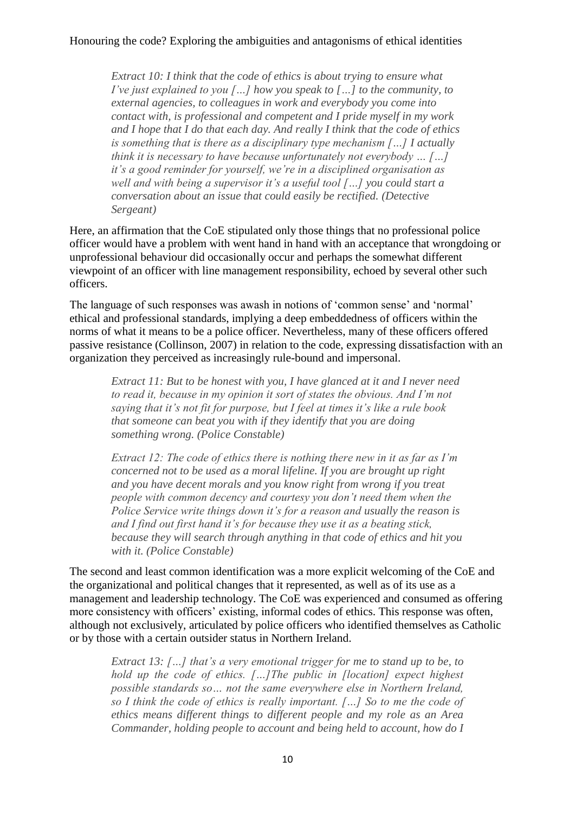*Extract 10: I think that the code of ethics is about trying to ensure what I've just explained to you […] how you speak to […] to the community, to external agencies, to colleagues in work and everybody you come into contact with, is professional and competent and I pride myself in my work and I hope that I do that each day. And really I think that the code of ethics is something that is there as a disciplinary type mechanism […] I actually think it is necessary to have because unfortunately not everybody … […] it's a good reminder for yourself, we're in a disciplined organisation as well and with being a supervisor it's a useful tool […] you could start a conversation about an issue that could easily be rectified. (Detective Sergeant)*

Here, an affirmation that the CoE stipulated only those things that no professional police officer would have a problem with went hand in hand with an acceptance that wrongdoing or unprofessional behaviour did occasionally occur and perhaps the somewhat different viewpoint of an officer with line management responsibility, echoed by several other such officers.

The language of such responses was awash in notions of 'common sense' and 'normal' ethical and professional standards, implying a deep embeddedness of officers within the norms of what it means to be a police officer. Nevertheless, many of these officers offered passive resistance (Collinson, 2007) in relation to the code, expressing dissatisfaction with an organization they perceived as increasingly rule-bound and impersonal.

*Extract 11: But to be honest with you, I have glanced at it and I never need to read it, because in my opinion it sort of states the obvious. And I'm not saying that it's not fit for purpose, but I feel at times it's like a rule book that someone can beat you with if they identify that you are doing something wrong. (Police Constable)*

*Extract 12: The code of ethics there is nothing there new in it as far as I'm concerned not to be used as a moral lifeline. If you are brought up right and you have decent morals and you know right from wrong if you treat people with common decency and courtesy you don't need them when the Police Service write things down it's for a reason and usually the reason is and I find out first hand it's for because they use it as a beating stick, because they will search through anything in that code of ethics and hit you with it. (Police Constable)*

The second and least common identification was a more explicit welcoming of the CoE and the organizational and political changes that it represented, as well as of its use as a management and leadership technology. The CoE was experienced and consumed as offering more consistency with officers' existing, informal codes of ethics. This response was often, although not exclusively, articulated by police officers who identified themselves as Catholic or by those with a certain outsider status in Northern Ireland.

*Extract 13: […] that's a very emotional trigger for me to stand up to be, to hold up the code of ethics. […]The public in [location] expect highest possible standards so… not the same everywhere else in Northern Ireland, so I think the code of ethics is really important. […] So to me the code of ethics means different things to different people and my role as an Area Commander, holding people to account and being held to account, how do I*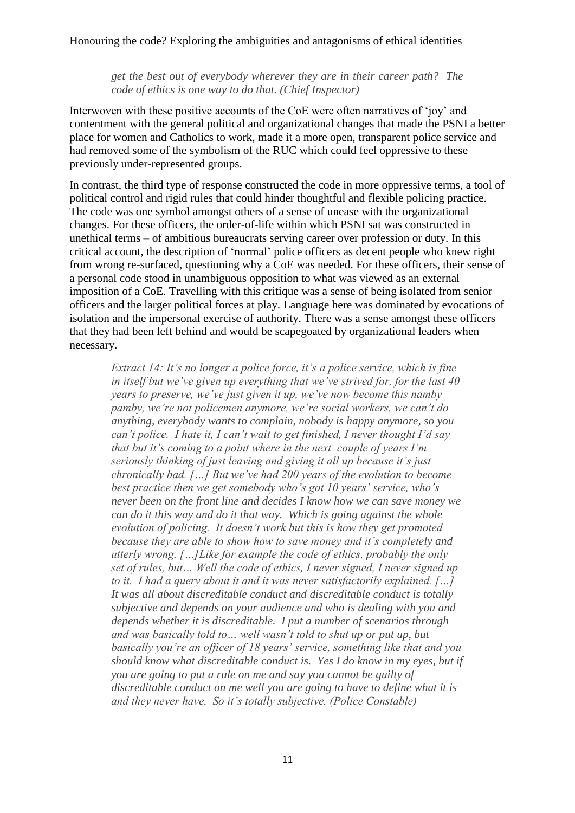*get the best out of everybody wherever they are in their career path? The code of ethics is one way to do that. (Chief Inspector)*

Interwoven with these positive accounts of the CoE were often narratives of 'joy' and contentment with the general political and organizational changes that made the PSNI a better place for women and Catholics to work, made it a more open, transparent police service and had removed some of the symbolism of the RUC which could feel oppressive to these previously under-represented groups.

In contrast, the third type of response constructed the code in more oppressive terms, a tool of political control and rigid rules that could hinder thoughtful and flexible policing practice. The code was one symbol amongst others of a sense of unease with the organizational changes. For these officers, the order-of-life within which PSNI sat was constructed in unethical terms – of ambitious bureaucrats serving career over profession or duty. In this critical account, the description of 'normal' police officers as decent people who knew right from wrong re-surfaced, questioning why a CoE was needed. For these officers, their sense of a personal code stood in unambiguous opposition to what was viewed as an external imposition of a CoE. Travelling with this critique was a sense of being isolated from senior officers and the larger political forces at play. Language here was dominated by evocations of isolation and the impersonal exercise of authority. There was a sense amongst these officers that they had been left behind and would be scapegoated by organizational leaders when necessary.

*Extract 14: It's no longer a police force, it's a police service, which is fine in itself but we've given up everything that we've strived for, for the last 40 years to preserve, we've just given it up, we've now become this namby pamby, we're not policemen anymore, we're social workers, we can't do anything, everybody wants to complain, nobody is happy anymore, so you can't police. I hate it, I can't wait to get finished, I never thought I'd say that but it's coming to a point where in the next couple of years I'm seriously thinking of just leaving and giving it all up because it's just chronically bad. […] But we've had 200 years of the evolution to become best practice then we get somebody who's got 10 years' service, who's never been on the front line and decides I know how we can save money we can do it this way and do it that way. Which is going against the whole evolution of policing. It doesn't work but this is how they get promoted because they are able to show how to save money and it's completely and utterly wrong. […]Like for example the code of ethics, probably the only set of rules, but… Well the code of ethics, I never signed, I never signed up to it. I had a query about it and it was never satisfactorily explained. […] It was all about discreditable conduct and discreditable conduct is totally subjective and depends on your audience and who is dealing with you and depends whether it is discreditable. I put a number of scenarios through and was basically told to… well wasn't told to shut up or put up, but basically you're an officer of 18 years' service, something like that and you should know what discreditable conduct is. Yes I do know in my eyes, but if you are going to put a rule on me and say you cannot be guilty of discreditable conduct on me well you are going to have to define what it is and they never have. So it's totally subjective. (Police Constable)*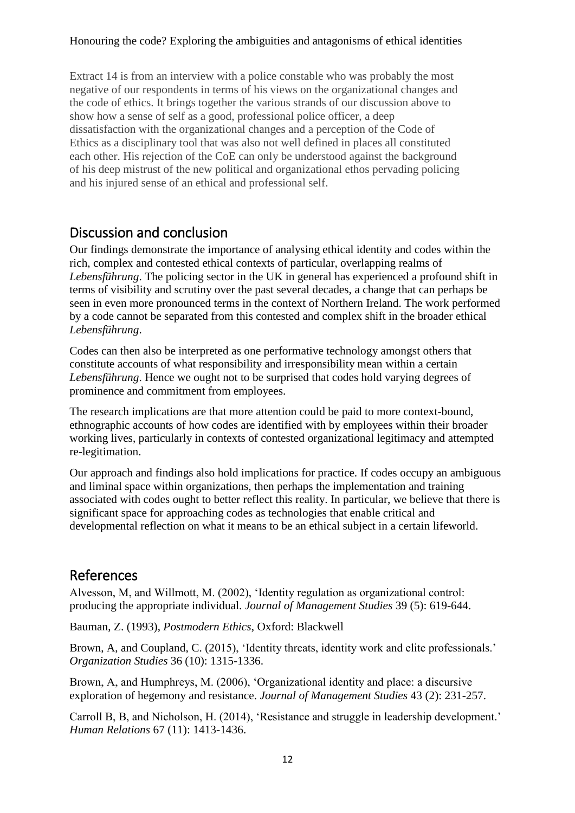Extract 14 is from an interview with a police constable who was probably the most negative of our respondents in terms of his views on the organizational changes and the code of ethics. It brings together the various strands of our discussion above to show how a sense of self as a good, professional police officer, a deep dissatisfaction with the organizational changes and a perception of the Code of Ethics as a disciplinary tool that was also not well defined in places all constituted each other. His rejection of the CoE can only be understood against the background of his deep mistrust of the new political and organizational ethos pervading policing and his injured sense of an ethical and professional self.

### Discussion and conclusion

Our findings demonstrate the importance of analysing ethical identity and codes within the rich, complex and contested ethical contexts of particular, overlapping realms of *Lebensführung*. The policing sector in the UK in general has experienced a profound shift in terms of visibility and scrutiny over the past several decades, a change that can perhaps be seen in even more pronounced terms in the context of Northern Ireland. The work performed by a code cannot be separated from this contested and complex shift in the broader ethical *Lebensführung*.

Codes can then also be interpreted as one performative technology amongst others that constitute accounts of what responsibility and irresponsibility mean within a certain *Lebensführung*. Hence we ought not to be surprised that codes hold varying degrees of prominence and commitment from employees.

The research implications are that more attention could be paid to more context-bound, ethnographic accounts of how codes are identified with by employees within their broader working lives, particularly in contexts of contested organizational legitimacy and attempted re-legitimation.

Our approach and findings also hold implications for practice. If codes occupy an ambiguous and liminal space within organizations, then perhaps the implementation and training associated with codes ought to better reflect this reality. In particular, we believe that there is significant space for approaching codes as technologies that enable critical and developmental reflection on what it means to be an ethical subject in a certain lifeworld.

## References

Alvesson, M, and Willmott, M. (2002), 'Identity regulation as organizational control: producing the appropriate individual. *Journal of Management Studies* 39 (5): 619-644.

Bauman, Z. (1993), *Postmodern Ethics*, Oxford: Blackwell

Brown, A, and Coupland, C. (2015), 'Identity threats, identity work and elite professionals.' *Organization Studies* 36 (10): 1315-1336.

Brown, A, and Humphreys, M. (2006), 'Organizational identity and place: a discursive exploration of hegemony and resistance. *Journal of Management Studies* 43 (2): 231-257.

Carroll B, B, and Nicholson, H. (2014), 'Resistance and struggle in leadership development.' *Human Relations* 67 (11): 1413-1436.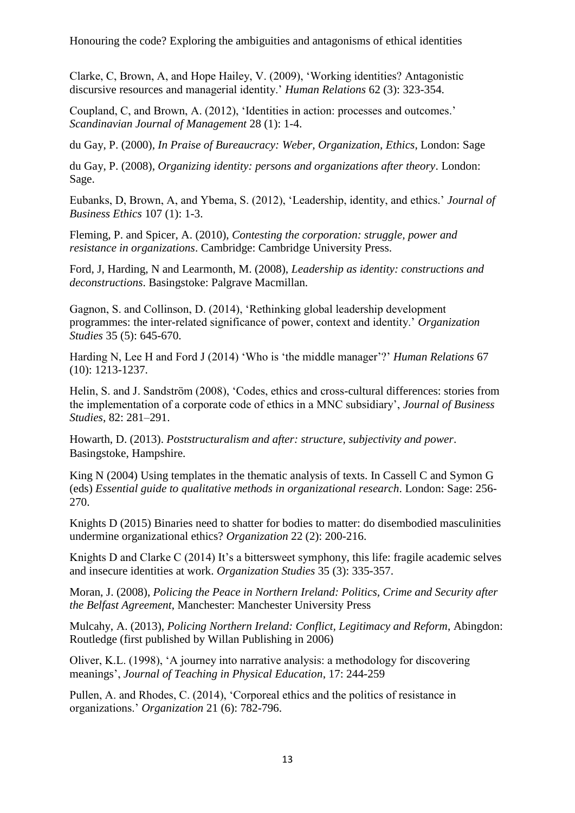Clarke, C, Brown, A, and Hope Hailey, V. (2009), 'Working identities? Antagonistic discursive resources and managerial identity.' *Human Relations* 62 (3): 323-354.

Coupland, C, and Brown, A. (2012), 'Identities in action: processes and outcomes.' *Scandinavian Journal of Management* 28 (1): 1-4.

du Gay, P. (2000), *In Praise of Bureaucracy: Weber, Organization, Ethics*, London: Sage

du Gay, P. (2008), *Organizing identity: persons and organizations after theory*. London: Sage.

Eubanks, D, Brown, A, and Ybema, S. (2012), 'Leadership, identity, and ethics.' *Journal of Business Ethics* 107 (1): 1-3.

Fleming, P. and Spicer, A. (2010), *Contesting the corporation: struggle, power and resistance in organizations*. Cambridge: Cambridge University Press.

Ford, J, Harding, N and Learmonth, M. (2008), *Leadership as identity: constructions and deconstructions*. Basingstoke: Palgrave Macmillan.

Gagnon, S. and Collinson, D. (2014), 'Rethinking global leadership development programmes: the inter-related significance of power, context and identity.' *Organization Studies* 35 (5): 645-670.

Harding N, Lee H and Ford J (2014) 'Who is 'the middle manager'?' *Human Relations* 67 (10): 1213-1237.

Helin, S. and J. Sandström (2008), 'Codes, ethics and cross-cultural differences: stories from the implementation of a corporate code of ethics in a MNC subsidiary', *Journal of Business Studies*, 82: 281–291.

Howarth, D. (2013). *Poststructuralism and after: structure, subjectivity and power*. Basingstoke, Hampshire.

King N (2004) Using templates in the thematic analysis of texts. In Cassell C and Symon G (eds) *Essential guide to qualitative methods in organizational research*. London: Sage: 256- 270.

Knights D (2015) Binaries need to shatter for bodies to matter: do disembodied masculinities undermine organizational ethics? *Organization* 22 (2): 200-216.

Knights D and Clarke C (2014) It's a bittersweet symphony, this life: fragile academic selves and insecure identities at work. *Organization Studies* 35 (3): 335-357.

Moran, J. (2008), *Policing the Peace in Northern Ireland: Politics, Crime and Security after the Belfast Agreement*, Manchester: Manchester University Press

Mulcahy, A. (2013), *Policing Northern Ireland: Conflict, Legitimacy and Reform*, Abingdon: Routledge (first published by Willan Publishing in 2006)

Oliver, K.L. (1998), 'A journey into narrative analysis: a methodology for discovering meanings', *Journal of Teaching in Physical Education*, 17: 244-259

Pullen, A. and Rhodes, C. (2014), 'Corporeal ethics and the politics of resistance in organizations.' *Organization* 21 (6): 782-796.